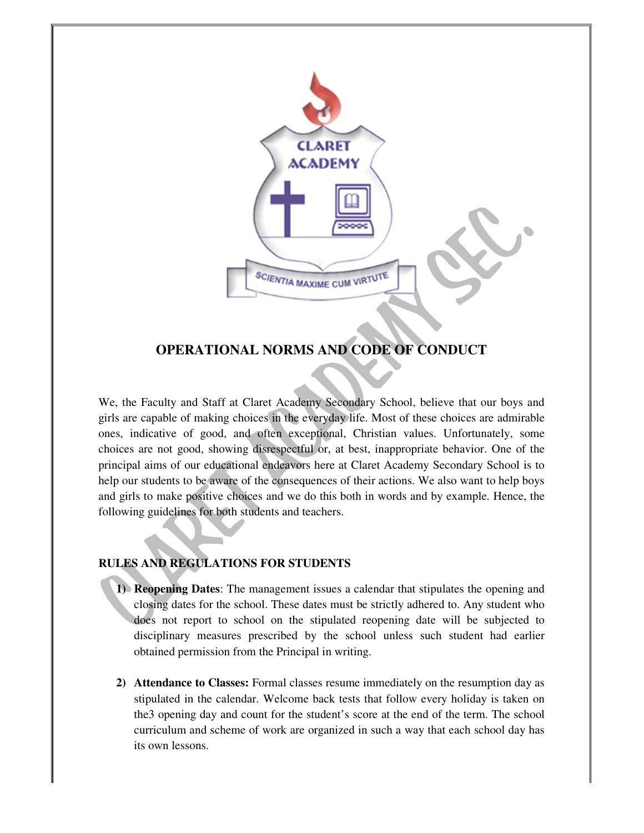

## **OPERATIONAL NORMS AND CODE OF CONDUCT**

We, the Faculty and Staff at Claret Academy Secondary School, believe that our boys and girls are capable of making choices in the everyday life. Most of these choices are admirable ones, indicative of good, and often exceptional, Christian values. Unfortunately, some choices are not good, showing disrespectful or, at best, inappropriate behavior. One of the principal aims of our educational endeavors here at Claret Academy Secondary School is to help our students to be aware of the consequences of their actions. We also want to help boys and girls to make positive choices and we do this both in words and by example. Hence, the following guidelines for both students and teachers.

## **RULES AND REGULATIONS FOR STUDENTS**

- **1) Reopening Dates**: The management issues a calendar that stipulates the opening and closing dates for the school. These dates must be strictly adhered to. Any student who does not report to school on the stipulated reopening date will be subjected to disciplinary measures prescribed by the school unless such student had earlier obtained permission from the Principal in writing.
- **2) Attendance to Classes:** Formal classes resume immediately on the resumption day as stipulated in the calendar. Welcome back tests that follow every holiday is taken on the3 opening day and count for the student's score at the end of the term. The school curriculum and scheme of work are organized in such a way that each school day has its own lessons.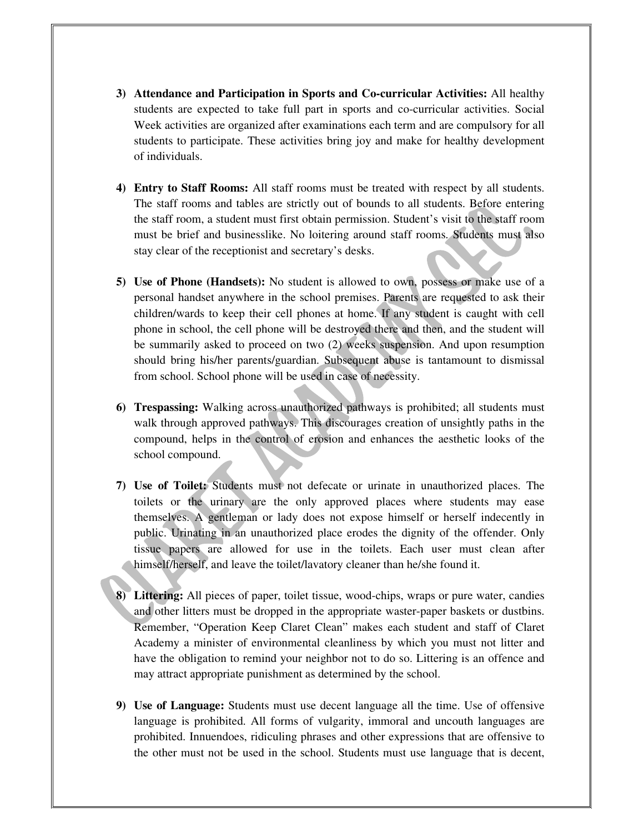- **3) Attendance and Participation in Sports and Co-curricular Activities:** All healthy students are expected to take full part in sports and co-curricular activities. Social Week activities are organized after examinations each term and are compulsory for all students to participate. These activities bring joy and make for healthy development of individuals.
- **4) Entry to Staff Rooms:** All staff rooms must be treated with respect by all students. The staff rooms and tables are strictly out of bounds to all students. Before entering the staff room, a student must first obtain permission. Student's visit to the staff room must be brief and businesslike. No loitering around staff rooms. Students must also stay clear of the receptionist and secretary's desks.
- **5) Use of Phone (Handsets):** No student is allowed to own, possess or make use of a personal handset anywhere in the school premises. Parents are requested to ask their children/wards to keep their cell phones at home. If any student is caught with cell phone in school, the cell phone will be destroyed there and then, and the student will be summarily asked to proceed on two (2) weeks suspension. And upon resumption should bring his/her parents/guardian. Subsequent abuse is tantamount to dismissal from school. School phone will be used in case of necessity.
- **6) Trespassing:** Walking across unauthorized pathways is prohibited; all students must walk through approved pathways. This discourages creation of unsightly paths in the compound, helps in the control of erosion and enhances the aesthetic looks of the school compound.
- **7) Use of Toilet:** Students must not defecate or urinate in unauthorized places. The toilets or the urinary are the only approved places where students may ease themselves. A gentleman or lady does not expose himself or herself indecently in public. Urinating in an unauthorized place erodes the dignity of the offender. Only tissue papers are allowed for use in the toilets. Each user must clean after himself/herself, and leave the toilet/lavatory cleaner than he/she found it.
- **8) Littering:** All pieces of paper, toilet tissue, wood-chips, wraps or pure water, candies and other litters must be dropped in the appropriate waster-paper baskets or dustbins. Remember, "Operation Keep Claret Clean" makes each student and staff of Claret Academy a minister of environmental cleanliness by which you must not litter and have the obligation to remind your neighbor not to do so. Littering is an offence and may attract appropriate punishment as determined by the school.
- **9) Use of Language:** Students must use decent language all the time. Use of offensive language is prohibited. All forms of vulgarity, immoral and uncouth languages are prohibited. Innuendoes, ridiculing phrases and other expressions that are offensive to the other must not be used in the school. Students must use language that is decent,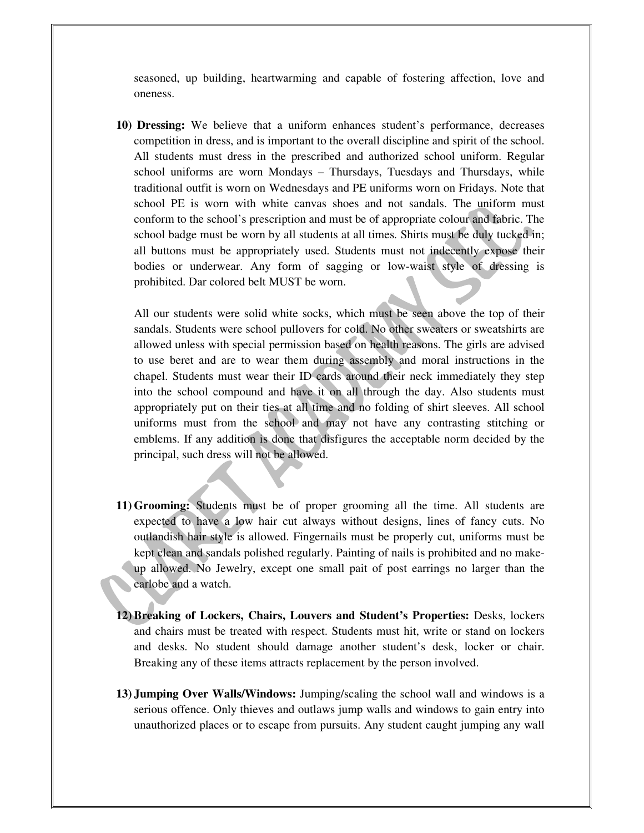seasoned, up building, heartwarming and capable of fostering affection, love and oneness.

**10) Dressing:** We believe that a uniform enhances student's performance, decreases competition in dress, and is important to the overall discipline and spirit of the school. All students must dress in the prescribed and authorized school uniform. Regular school uniforms are worn Mondays – Thursdays, Tuesdays and Thursdays, while traditional outfit is worn on Wednesdays and PE uniforms worn on Fridays. Note that school PE is worn with white canvas shoes and not sandals. The uniform must conform to the school's prescription and must be of appropriate colour and fabric. The school badge must be worn by all students at all times. Shirts must be duly tucked in; all buttons must be appropriately used. Students must not indecently expose their bodies or underwear. Any form of sagging or low-waist style of dressing is prohibited. Dar colored belt MUST be worn.

All our students were solid white socks, which must be seen above the top of their sandals. Students were school pullovers for cold. No other sweaters or sweatshirts are allowed unless with special permission based on health reasons. The girls are advised to use beret and are to wear them during assembly and moral instructions in the chapel. Students must wear their ID cards around their neck immediately they step into the school compound and have it on all through the day. Also students must appropriately put on their ties at all time and no folding of shirt sleeves. All school uniforms must from the school and may not have any contrasting stitching or emblems. If any addition is done that disfigures the acceptable norm decided by the principal, such dress will not be allowed.

- **11) Grooming:** Students must be of proper grooming all the time. All students are expected to have a low hair cut always without designs, lines of fancy cuts. No outlandish hair style is allowed. Fingernails must be properly cut, uniforms must be kept clean and sandals polished regularly. Painting of nails is prohibited and no makeup allowed. No Jewelry, except one small pait of post earrings no larger than the earlobe and a watch.
- **12) Breaking of Lockers, Chairs, Louvers and Student's Properties:** Desks, lockers and chairs must be treated with respect. Students must hit, write or stand on lockers and desks. No student should damage another student's desk, locker or chair. Breaking any of these items attracts replacement by the person involved.
- **13) Jumping Over Walls/Windows:** Jumping/scaling the school wall and windows is a serious offence. Only thieves and outlaws jump walls and windows to gain entry into unauthorized places or to escape from pursuits. Any student caught jumping any wall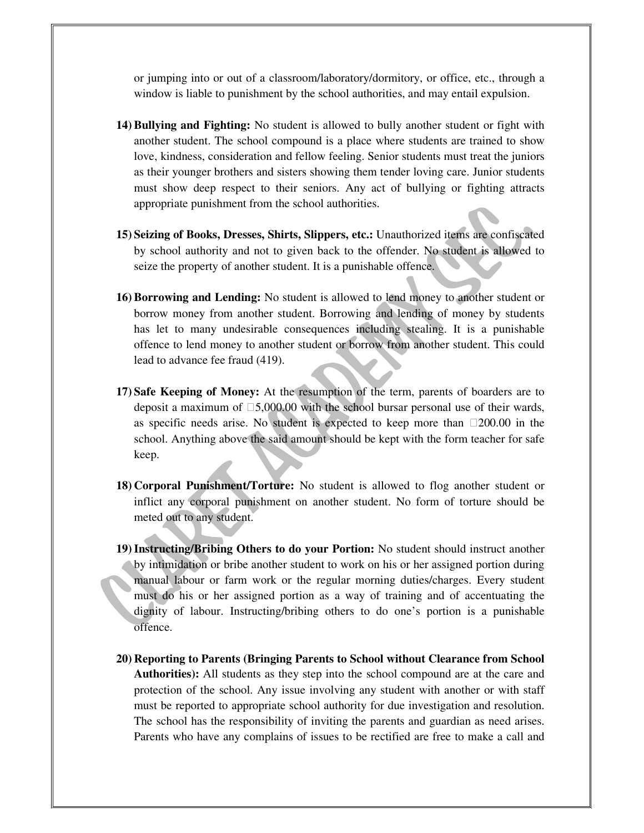or jumping into or out of a classroom/laboratory/dormitory, or office, etc., through a window is liable to punishment by the school authorities, and may entail expulsion.

- **14) Bullying and Fighting:** No student is allowed to bully another student or fight with another student. The school compound is a place where students are trained to show love, kindness, consideration and fellow feeling. Senior students must treat the juniors as their younger brothers and sisters showing them tender loving care. Junior students must show deep respect to their seniors. Any act of bullying or fighting attracts appropriate punishment from the school authorities.
- **15) Seizing of Books, Dresses, Shirts, Slippers, etc.:** Unauthorized items are confiscated by school authority and not to given back to the offender. No student is allowed to seize the property of another student. It is a punishable offence.
- **16) Borrowing and Lending:** No student is allowed to lend money to another student or borrow money from another student. Borrowing and lending of money by students has let to many undesirable consequences including stealing. It is a punishable offence to lend money to another student or borrow from another student. This could lead to advance fee fraud (419).
- **17) Safe Keeping of Money:** At the resumption of the term, parents of boarders are to deposit a maximum of 5,000.00 with the school bursar personal use of their wards, as specific needs arise. No student is expected to keep more than 200.00 in the school. Anything above the said amount should be kept with the form teacher for safe keep.
- **18) Corporal Punishment/Torture:** No student is allowed to flog another student or inflict any corporal punishment on another student. No form of torture should be meted out to any student.
- **19)Instructing/Bribing Others to do your Portion:** No student should instruct another by intimidation or bribe another student to work on his or her assigned portion during manual labour or farm work or the regular morning duties/charges. Every student must do his or her assigned portion as a way of training and of accentuating the dignity of labour. Instructing/bribing others to do one's portion is a punishable offence.
- **20) Reporting to Parents (Bringing Parents to School without Clearance from School Authorities):** All students as they step into the school compound are at the care and protection of the school. Any issue involving any student with another or with staff must be reported to appropriate school authority for due investigation and resolution. The school has the responsibility of inviting the parents and guardian as need arises. Parents who have any complains of issues to be rectified are free to make a call and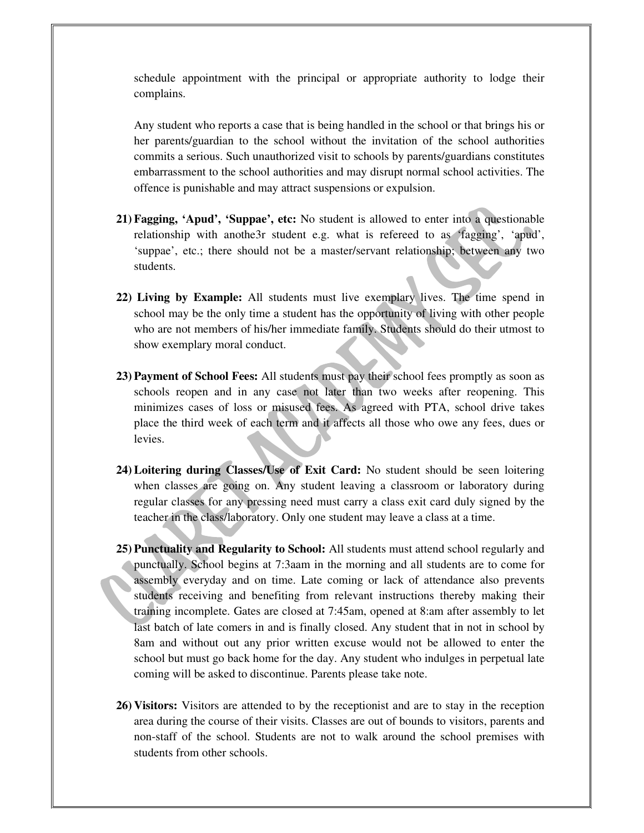schedule appointment with the principal or appropriate authority to lodge their complains.

Any student who reports a case that is being handled in the school or that brings his or her parents/guardian to the school without the invitation of the school authorities commits a serious. Such unauthorized visit to schools by parents/guardians constitutes embarrassment to the school authorities and may disrupt normal school activities. The offence is punishable and may attract suspensions or expulsion.

- **21) Fagging, 'Apud', 'Suppae', etc:** No student is allowed to enter into a questionable relationship with anothe3r student e.g. what is refereed to as 'fagging', 'apud', 'suppae', etc.; there should not be a master/servant relationship; between any two students.
- **22) Living by Example:** All students must live exemplary lives. The time spend in school may be the only time a student has the opportunity of living with other people who are not members of his/her immediate family. Students should do their utmost to show exemplary moral conduct.
- **23) Payment of School Fees:** All students must pay their school fees promptly as soon as schools reopen and in any case not later than two weeks after reopening. This minimizes cases of loss or misused fees. As agreed with PTA, school drive takes place the third week of each term and it affects all those who owe any fees, dues or levies.
- **24) Loitering during Classes/Use of Exit Card:** No student should be seen loitering when classes are going on. Any student leaving a classroom or laboratory during regular classes for any pressing need must carry a class exit card duly signed by the teacher in the class/laboratory. Only one student may leave a class at a time.
- **25) Punctuality and Regularity to School:** All students must attend school regularly and punctually. School begins at 7:3aam in the morning and all students are to come for assembly everyday and on time. Late coming or lack of attendance also prevents students receiving and benefiting from relevant instructions thereby making their training incomplete. Gates are closed at 7:45am, opened at 8:am after assembly to let last batch of late comers in and is finally closed. Any student that in not in school by 8am and without out any prior written excuse would not be allowed to enter the school but must go back home for the day. Any student who indulges in perpetual late coming will be asked to discontinue. Parents please take note.
- **26) Visitors:** Visitors are attended to by the receptionist and are to stay in the reception area during the course of their visits. Classes are out of bounds to visitors, parents and non-staff of the school. Students are not to walk around the school premises with students from other schools.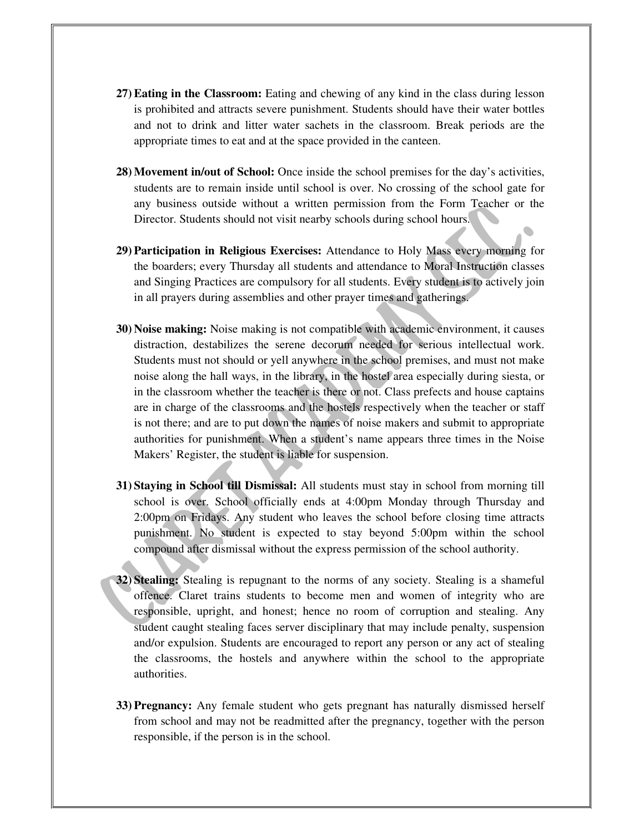- **27) Eating in the Classroom:** Eating and chewing of any kind in the class during lesson is prohibited and attracts severe punishment. Students should have their water bottles and not to drink and litter water sachets in the classroom. Break periods are the appropriate times to eat and at the space provided in the canteen.
- **28) Movement in/out of School:** Once inside the school premises for the day's activities, students are to remain inside until school is over. No crossing of the school gate for any business outside without a written permission from the Form Teacher or the Director. Students should not visit nearby schools during school hours.

a

- **29) Participation in Religious Exercises:** Attendance to Holy Mass every morning for the boarders; every Thursday all students and attendance to Moral Instruction classes and Singing Practices are compulsory for all students. Every student is to actively join in all prayers during assemblies and other prayer times and gatherings.
- **30) Noise making:** Noise making is not compatible with academic environment, it causes distraction, destabilizes the serene decorum needed for serious intellectual work. Students must not should or yell anywhere in the school premises, and must not make noise along the hall ways, in the library, in the hostel area especially during siesta, or in the classroom whether the teacher is there or not. Class prefects and house captains are in charge of the classrooms and the hostels respectively when the teacher or staff is not there; and are to put down the names of noise makers and submit to appropriate authorities for punishment. When a student's name appears three times in the Noise Makers' Register, the student is liable for suspension.
- **31) Staying in School till Dismissal:** All students must stay in school from morning till school is over. School officially ends at 4:00pm Monday through Thursday and 2:00pm on Fridays. Any student who leaves the school before closing time attracts punishment. No student is expected to stay beyond 5:00pm within the school compound after dismissal without the express permission of the school authority.
- **32) Stealing:** Stealing is repugnant to the norms of any society. Stealing is a shameful offence. Claret trains students to become men and women of integrity who are responsible, upright, and honest; hence no room of corruption and stealing. Any student caught stealing faces server disciplinary that may include penalty, suspension and/or expulsion. Students are encouraged to report any person or any act of stealing the classrooms, the hostels and anywhere within the school to the appropriate authorities.
- **33) Pregnancy:** Any female student who gets pregnant has naturally dismissed herself from school and may not be readmitted after the pregnancy, together with the person responsible, if the person is in the school.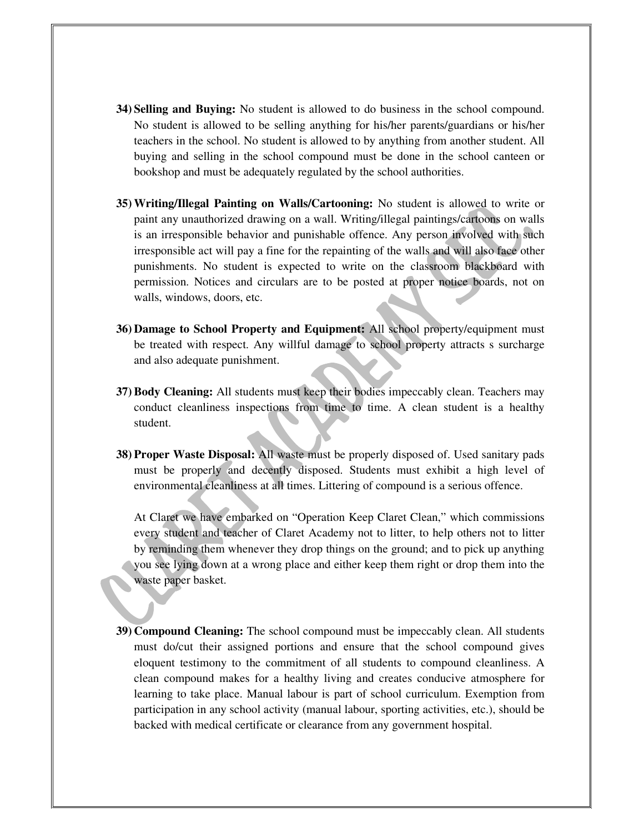- **34) Selling and Buying:** No student is allowed to do business in the school compound. No student is allowed to be selling anything for his/her parents/guardians or his/her teachers in the school. No student is allowed to by anything from another student. All buying and selling in the school compound must be done in the school canteen or bookshop and must be adequately regulated by the school authorities.
- **35) Writing/Illegal Painting on Walls/Cartooning:** No student is allowed to write or paint any unauthorized drawing on a wall. Writing/illegal paintings/cartoons on walls is an irresponsible behavior and punishable offence. Any person involved with such irresponsible act will pay a fine for the repainting of the walls and will also face other punishments. No student is expected to write on the classroom blackboard with permission. Notices and circulars are to be posted at proper notice boards, not on walls, windows, doors, etc.
- **36) Damage to School Property and Equipment:** All school property/equipment must be treated with respect. Any willful damage to school property attracts s surcharge and also adequate punishment.
- **37) Body Cleaning:** All students must keep their bodies impeccably clean. Teachers may conduct cleanliness inspections from time to time. A clean student is a healthy student.
- **38) Proper Waste Disposal:** All waste must be properly disposed of. Used sanitary pads must be properly and decently disposed. Students must exhibit a high level of environmental cleanliness at all times. Littering of compound is a serious offence.

At Claret we have embarked on "Operation Keep Claret Clean," which commissions every student and teacher of Claret Academy not to litter, to help others not to litter by reminding them whenever they drop things on the ground; and to pick up anything you see lying down at a wrong place and either keep them right or drop them into the waste paper basket.

**39) Compound Cleaning:** The school compound must be impeccably clean. All students must do/cut their assigned portions and ensure that the school compound gives eloquent testimony to the commitment of all students to compound cleanliness. A clean compound makes for a healthy living and creates conducive atmosphere for learning to take place. Manual labour is part of school curriculum. Exemption from participation in any school activity (manual labour, sporting activities, etc.), should be backed with medical certificate or clearance from any government hospital.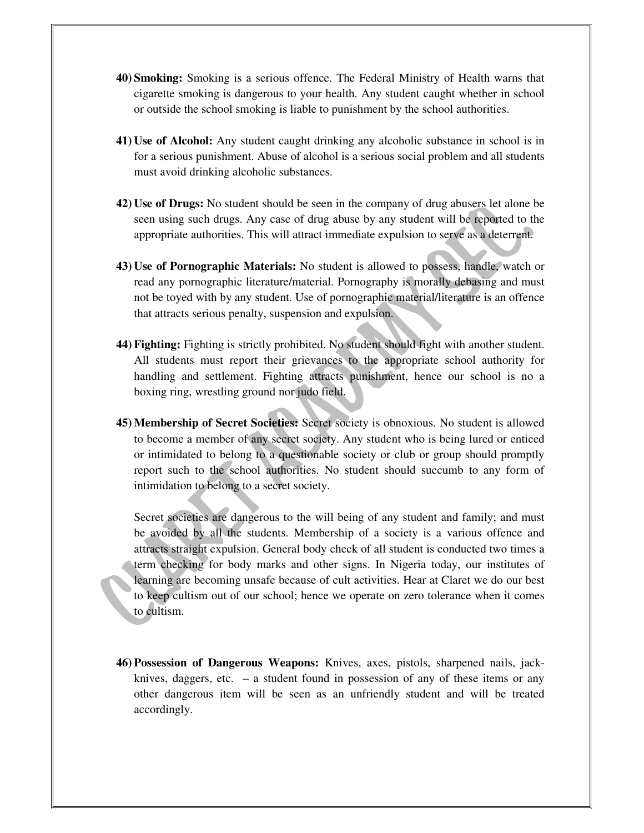- **40) Smoking:** Smoking is a serious offence. The Federal Ministry of Health warns that cigarette smoking is dangerous to your health. Any student caught whether in school or outside the school smoking is liable to punishment by the school authorities.
- **41) Use of Alcohol:** Any student caught drinking any alcoholic substance in school is in for a serious punishment. Abuse of alcohol is a serious social problem and all students must avoid drinking alcoholic substances.
- **42) Use of Drugs:** No student should be seen in the company of drug abusers let alone be seen using such drugs. Any case of drug abuse by any student will be reported to the appropriate authorities. This will attract immediate expulsion to serve as a deterrent.
- **43) Use of Pornographic Materials:** No student is allowed to possess, handle, watch or read any pornographic literature/material. Pornography is morally debasing and must not be toyed with by any student. Use of pornographic material/literature is an offence that attracts serious penalty, suspension and expulsion.
- **44) Fighting:** Fighting is strictly prohibited. No student should fight with another student. All students must report their grievances to the appropriate school authority for handling and settlement. Fighting attracts punishment, hence our school is no a boxing ring, wrestling ground nor judo field.
- **45) Membership of Secret Societies:** Secret society is obnoxious. No student is allowed to become a member of any secret society. Any student who is being lured or enticed or intimidated to belong to a questionable society or club or group should promptly report such to the school authorities. No student should succumb to any form of intimidation to belong to a secret society.

Secret societies are dangerous to the will being of any student and family; and must be avoided by all the students. Membership of a society is a various offence and attracts straight expulsion. General body check of all student is conducted two times a term checking for body marks and other signs. In Nigeria today, our institutes of learning are becoming unsafe because of cult activities. Hear at Claret we do our best to keep cultism out of our school; hence we operate on zero tolerance when it comes to cultism.

**46) Possession of Dangerous Weapons:** Knives, axes, pistols, sharpened nails, jackknives, daggers, etc. – a student found in possession of any of these items or any other dangerous item will be seen as an unfriendly student and will be treated accordingly.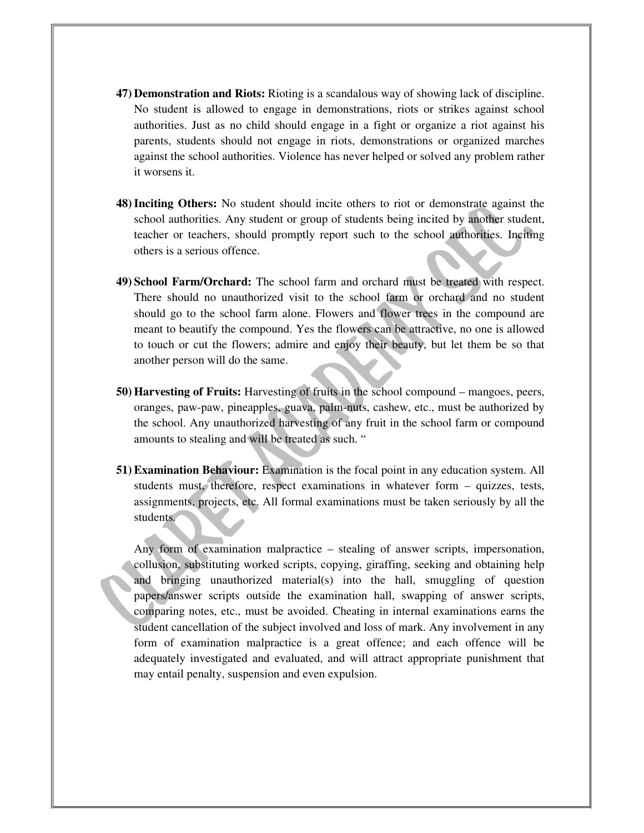- **47) Demonstration and Riots:** Rioting is a scandalous way of showing lack of discipline. No student is allowed to engage in demonstrations, riots or strikes against school authorities. Just as no child should engage in a fight or organize a riot against his parents, students should not engage in riots, demonstrations or organized marches against the school authorities. Violence has never helped or solved any problem rather it worsens it.
- **48)Inciting Others:** No student should incite others to riot or demonstrate against the school authorities. Any student or group of students being incited by another student, teacher or teachers, should promptly report such to the school authorities. Inciting others is a serious offence.
- **49) School Farm/Orchard:** The school farm and orchard must be treated with respect. There should no unauthorized visit to the school farm or orchard and no student should go to the school farm alone. Flowers and flower trees in the compound are meant to beautify the compound. Yes the flowers can be attractive, no one is allowed to touch or cut the flowers; admire and enjoy their beauty, but let them be so that another person will do the same.
- **50) Harvesting of Fruits:** Harvesting of fruits in the school compound mangoes, peers, oranges, paw-paw, pineapples, guava, palm-nuts, cashew, etc., must be authorized by the school. Any unauthorized harvesting of any fruit in the school farm or compound amounts to stealing and will be treated as such. "
- **51) Examination Behaviour:** Examination is the focal point in any education system. All students must, therefore, respect examinations in whatever form – quizzes, tests, assignments, projects, etc. All formal examinations must be taken seriously by all the students.

Any form of examination malpractice – stealing of answer scripts, impersonation, collusion, substituting worked scripts, copying, giraffing, seeking and obtaining help and bringing unauthorized material(s) into the hall, smuggling of question papers/answer scripts outside the examination hall, swapping of answer scripts, comparing notes, etc., must be avoided. Cheating in internal examinations earns the student cancellation of the subject involved and loss of mark. Any involvement in any form of examination malpractice is a great offence; and each offence will be adequately investigated and evaluated, and will attract appropriate punishment that may entail penalty, suspension and even expulsion.